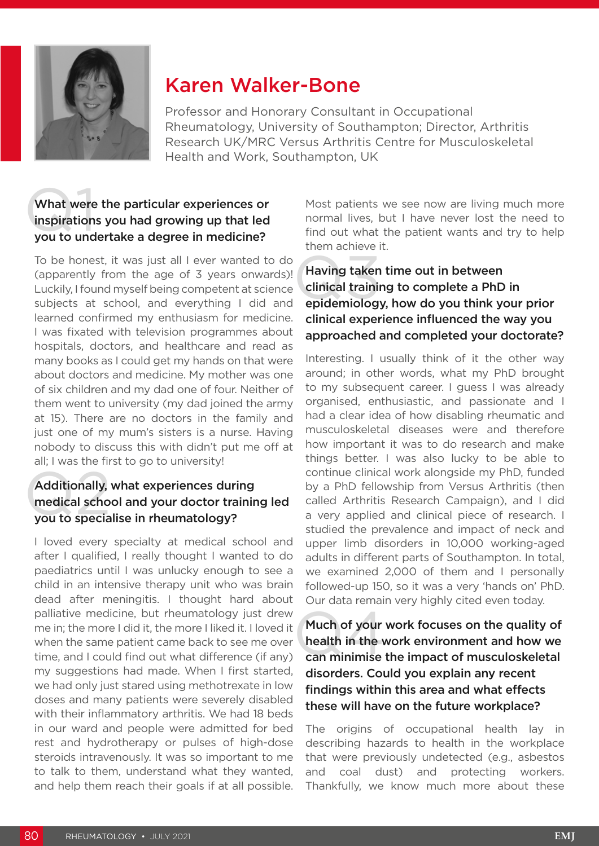

# Karen Walker-Bone

Professor and Honorary Consultant in Occupational Rheumatology, University of Southampton; Director, Arthritis Research UK/MRC Versus Arthritis Centre for Musculoskeletal Health and Work, Southampton, UK

## What were<br>inspiration<br>you to und What were the particular experiences or inspirations you had growing up that led you to undertake a degree in medicine?

To be honest, it was just all I ever wanted to do (apparently from the age of 3 years onwards)! Luckily, I found myself being competent at science subjects at school, and everything I did and learned confirmed my enthusiasm for medicine. I was fixated with television programmes about hospitals, doctors, and healthcare and read as many books as I could get my hands on that were about doctors and medicine. My mother was one of six children and my dad one of four. Neither of them went to university (my dad joined the army at 15). There are no doctors in the family and just one of my mum's sisters is a nurse. Having nobody to discuss this with didn't put me off at all; I was the first to go to university!

#### Additionally,<br>medical scho<br>you to specia Additionally, what experiences during medical school and your doctor training led you to specialise in rheumatology?

I loved every specialty at medical school and after I qualified, I really thought I wanted to do paediatrics until I was unlucky enough to see a child in an intensive therapy unit who was brain dead after meningitis. I thought hard about palliative medicine, but rheumatology just drew me in; the more I did it, the more I liked it. I loved it when the same patient came back to see me over time, and I could find out what difference (if any) my suggestions had made. When I first started, we had only just stared using methotrexate in low doses and many patients were severely disabled with their inflammatory arthritis. We had 18 beds in our ward and people were admitted for bed rest and hydrotherapy or pulses of high-dose steroids intravenously. It was so important to me to talk to them, understand what they wanted, and help them reach their goals if at all possible.

Most patients we see now are living much more normal lives, but I have never lost the need to find out what the patient wants and try to help them achieve it.

### Having taken<br>clinical trainin<br>epidemiology Having taken time out in between clinical training to complete a PhD in epidemiology, how do you think your prior clinical experience influenced the way you approached and completed your doctorate?

Interesting. I usually think of it the other way around; in other words, what my PhD brought to my subsequent career. I guess I was already organised, enthusiastic, and passionate and I had a clear idea of how disabling rheumatic and musculoskeletal diseases were and therefore how important it was to do research and make things better. I was also lucky to be able to continue clinical work alongside my PhD, funded by a PhD fellowship from Versus Arthritis (then called Arthritis Research Campaign), and I did a very applied and clinical piece of research. I studied the prevalence and impact of neck and upper limb disorders in 10,000 working-aged adults in different parts of Southampton. In total, we examined 2,000 of them and I personally followed-up 150, so it was a very 'hands on' PhD. Our data remain very highly cited even today.

Much of your<br>health in the v<br>can minimise Much of your work focuses on the quality of health in the work environment and how we can minimise the impact of musculoskeletal disorders. Could you explain any recent findings within this area and what effects these will have on the future workplace?

The origins of occupational health lay in describing hazards to health in the workplace that were previously undetected (e.g., asbestos and coal dust) and protecting workers. Thankfully, we know much more about these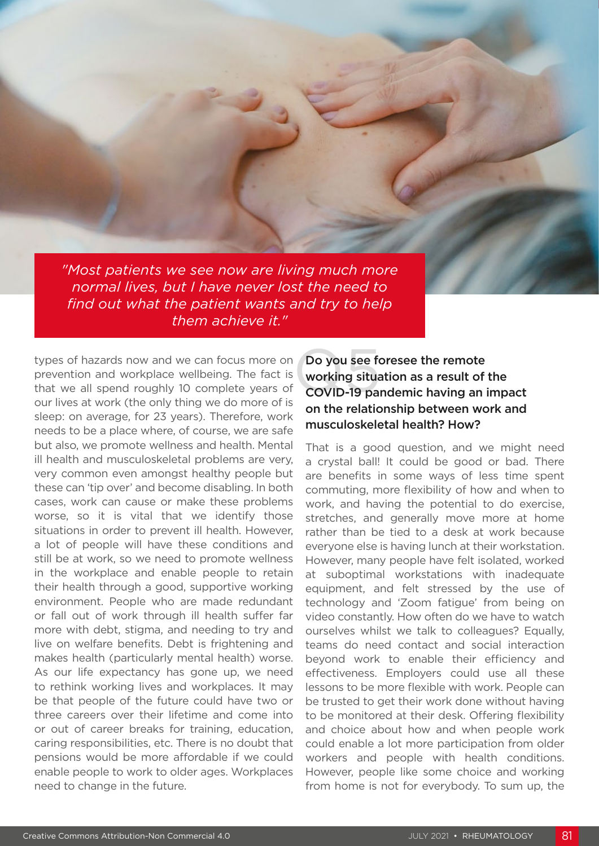*"Most patients we see now are living much more normal lives, but I have never lost the need to find out what the patient wants and try to help them achieve it."*

types of hazards now and we can focus more on prevention and workplace wellbeing. The fact is that we all spend roughly 10 complete years of our lives at work (the only thing we do more of is sleep: on average, for 23 years). Therefore, work needs to be a place where, of course, we are safe but also, we promote wellness and health. Mental ill health and musculoskeletal problems are very, very common even amongst healthy people but these can 'tip over' and become disabling. In both cases, work can cause or make these problems worse, so it is vital that we identify those situations in order to prevent ill health. However, a lot of people will have these conditions and still be at work, so we need to promote wellness in the workplace and enable people to retain their health through a good, supportive working environment. People who are made redundant or fall out of work through ill health suffer far more with debt, stigma, and needing to try and live on welfare benefits. Debt is frightening and makes health (particularly mental health) worse. As our life expectancy has gone up, we need to rethink working lives and workplaces. It may be that people of the future could have two or three careers over their lifetime and come into or out of career breaks for training, education, caring responsibilities, etc. There is no doubt that pensions would be more affordable if we could enable people to work to older ages. Workplaces need to change in the future.

## Do you see foresee the remote working situation as a result of the COVID-19 pandemic having an impact on the relationship between work and musculoskeletal health? How?

That is a good question, and we might need a crystal ball! It could be good or bad. There are benefits in some ways of less time spent commuting, more flexibility of how and when to work, and having the potential to do exercise, stretches, and generally move more at home rather than be tied to a desk at work because everyone else is having lunch at their workstation. However, many people have felt isolated, worked at suboptimal workstations with inadequate equipment, and felt stressed by the use of technology and 'Zoom fatigue' from being on video constantly. How often do we have to watch ourselves whilst we talk to colleagues? Equally, teams do need contact and social interaction beyond work to enable their efficiency and effectiveness. Employers could use all these lessons to be more flexible with work. People can be trusted to get their work done without having to be monitored at their desk. Offering flexibility and choice about how and when people work could enable a lot more participation from older workers and people with health conditions. However, people like some choice and working from home is not for everybody. To sum up, the